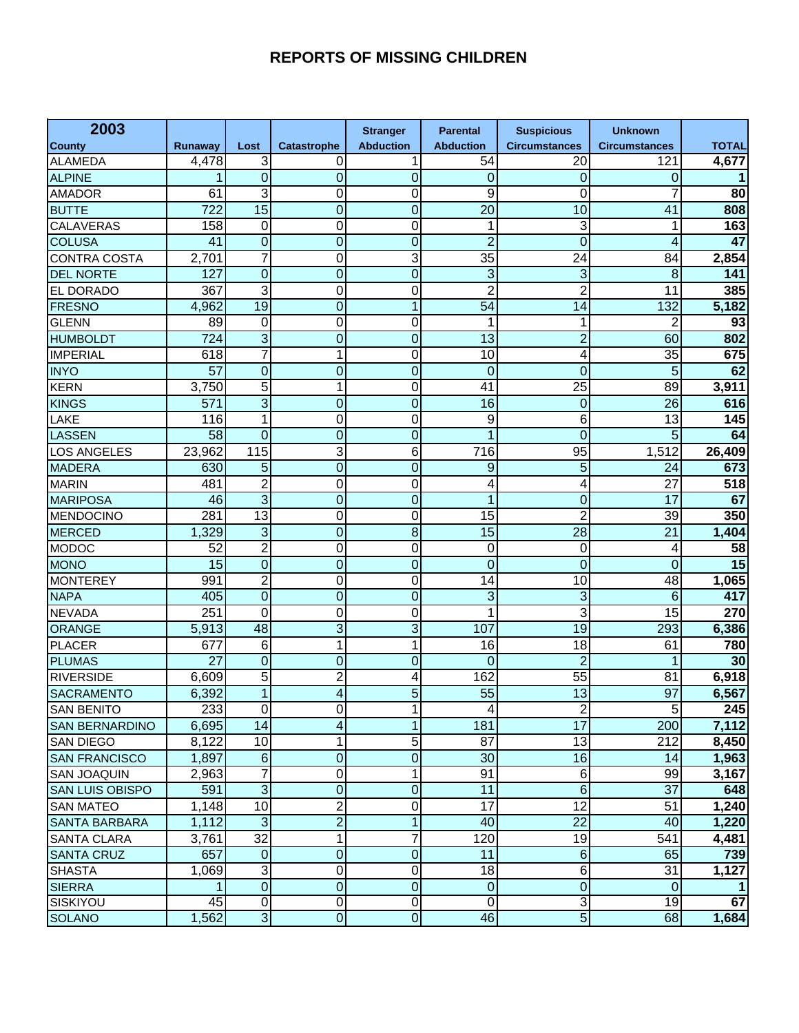## **REPORTS OF MISSING CHILDREN**

| 2003                   |         |                 |                | <b>Stranger</b>  | <b>Parental</b>  | <b>Suspicious</b>    | <b>Unknown</b>       |                  |
|------------------------|---------|-----------------|----------------|------------------|------------------|----------------------|----------------------|------------------|
| <b>County</b>          | Runaway | Lost            | Catastrophe    | <b>Abduction</b> | <b>Abduction</b> | <b>Circumstances</b> | <b>Circumstances</b> | <b>TOTAL</b>     |
| <b>ALAMEDA</b>         | 4,478   | 3               | 0              | 1                | 54               | 20                   | 121                  | 4,677            |
| <b>ALPINE</b>          | 1       | $\overline{0}$  | 0              | $\overline{0}$   | 0                | $\mathbf 0$          | 0                    |                  |
| <b>AMADOR</b>          | 61      | 3               | 0              | 0                | 9                | 0                    | 7                    | 80               |
| <b>BUTTE</b>           | 722     | $\overline{15}$ | 0              | $\overline{0}$   | 20               | 10                   | 41                   | 808              |
| CALAVERAS              | 158     | 0               | 0              | 0                | 1                | 3                    | 1                    | 163              |
| <b>COLUSA</b>          | 41      | $\overline{0}$  | $\overline{0}$ | $\overline{0}$   | $\overline{2}$   | $\overline{0}$       | 4                    | 47               |
| <b>CONTRA COSTA</b>    | 2,701   | 7               | 0              | 3                | 35               | 24                   | 84                   | 2,854            |
| <b>DEL NORTE</b>       | 127     | $\overline{0}$  | $\overline{0}$ | $\overline{0}$   | $\overline{3}$   | 3                    | 8                    | 141              |
| EL DORADO              | 367     | 3               | 0              | 0                | $\overline{2}$   | $\overline{c}$       | 11                   | 385              |
| <b>FRESNO</b>          | 4,962   | $\overline{19}$ | 0              | 1                | 54               | 14                   | 132                  | 5,182            |
| <b>GLENN</b>           | 89      | 0               | 0              | 0                | 1                | 1                    | $\overline{c}$       | 93               |
| <b>HUMBOLDT</b>        | 724     | $\overline{3}$  | $\overline{0}$ | $\overline{0}$   | 13               | $\overline{2}$       | 60                   | 802              |
| <b>IMPERIAL</b>        | 618     | 7               | 1              | 0                | 10               | 4                    | 35                   | 675              |
| <b>INYO</b>            | 57      | $\overline{0}$  | $\overline{0}$ | $\overline{0}$   | 0                | $\overline{0}$       | 5                    | 62               |
| <b>KERN</b>            | 3,750   | 5               | 1              | 0                | 41               | 25                   | 89                   | 3,911            |
| <b>KINGS</b>           | 571     | $\overline{3}$  | $\overline{0}$ | $\overline{0}$   | 16               | $\mathbf 0$          | 26                   | 616              |
| LAKE                   | 116     | 1               | 0              | 0                | 9                | 6                    | 13                   | 145              |
| <b>LASSEN</b>          | 58      | $\overline{0}$  | 0              | $\overline{0}$   | 1                | $\overline{0}$       | 5                    | 64               |
| <b>LOS ANGELES</b>     | 23,962  | 115             | 3              | $\overline{6}$   | $\overline{716}$ | 95                   | 1,512                | 26,409           |
| <b>MADERA</b>          | 630     | 5               | $\overline{0}$ | $\overline{0}$   | 9                | $\overline{5}$       | 24                   | 673              |
| <b>MARIN</b>           | 481     | $\overline{2}$  | 0              | 0                | 4                | 4                    | $\overline{27}$      | $\overline{518}$ |
| <b>MARIPOSA</b>        | 46      | $\overline{3}$  | $\overline{0}$ | $\overline{0}$   | $\mathbf{1}$     | $\mathbf 0$          | $\overline{17}$      | 67               |
| <b>MENDOCINO</b>       | 281     | 13              | 0              | 0                | $\overline{15}$  | $\overline{2}$       | 39                   | 350              |
| <b>MERCED</b>          | 1,329   | $\overline{3}$  | 0              | $\overline{8}$   | $\overline{15}$  | 28                   | 21                   | 1,404            |
| <b>MODOC</b>           | 52      | $\overline{2}$  | 0              | 0                | 0                | 0                    | 4                    | 58               |
| <b>MONO</b>            | 15      | $\overline{0}$  | 0              | $\overline{0}$   | $\boldsymbol{0}$ | $\mathbf 0$          | $\mathbf 0$          | 15               |
| <b>MONTEREY</b>        | 991     | $\overline{2}$  | 0              | 0                | 14               | 10                   | 48                   | 1,065            |
| <b>NAPA</b>            | 405     | $\overline{0}$  | 0              | $\overline{0}$   | 3                | 3                    | 6                    | 417              |
| <b>NEVADA</b>          | 251     | 0               | 0              | 0                | 1                | 3                    | 15                   | 270              |
| <b>ORANGE</b>          | 5,913   | 48              | $\overline{3}$ | $\overline{3}$   | 107              | $\overline{19}$      | 293                  | 6,386            |
| <b>PLACER</b>          | 677     | 6               | 1              | 1                | 16               | 18                   | 61                   | 780              |
| <b>PLUMAS</b>          | 27      | $\overline{0}$  | 0              | $\overline{0}$   | 0                | $\overline{2}$       | 1                    | 30               |
| <b>RIVERSIDE</b>       | 6,609   | 5               | $\overline{c}$ | 4                | 162              | 55                   | 81                   | 6,918            |
| <b>SACRAMENTO</b>      | 6,392   | $\mathbf{1}$    | 4              | 5                | 55               | 13                   | 97                   | 6,567            |
| <b>SAN BENITO</b>      | 233     | $\overline{0}$  | $\overline{0}$ | 1 <sup>1</sup>   | $\vert 4 \vert$  | $\overline{c}$       | 5 <sub>5</sub>       | 245              |
| <b>SAN BERNARDINO</b>  | 6,695   | 14              | 4              | 1                | 181              | $\overline{17}$      | 200                  | 7,112            |
| <b>SAN DIEGO</b>       | 8,122   | 10              | 1              | 5                | 87               | 13                   | 212                  | 8,450            |
| <b>SAN FRANCISCO</b>   | 1,897   | $\sigma$        | 0              | $\overline{0}$   | 30               | 16                   | 14                   | 1,963            |
| <b>SAN JOAQUIN</b>     | 2,963   | 7               | 0              | 1                | 91               | 6                    | 99                   | 3,167            |
| <b>SAN LUIS OBISPO</b> | 591     | $\overline{3}$  | 0              | $\mathbf 0$      | 11               | $\overline{6}$       | 37                   | 648              |
| <b>SAN MATEO</b>       | 1,148   | 10              | $\overline{2}$ | 0                | $\overline{17}$  | 12                   | 51                   | 1,240            |
| <b>SANTA BARBARA</b>   | 1,112   | $\omega$        | $\overline{2}$ | 1                | 40               | 22                   | 40                   | 1,220            |
| <b>SANTA CLARA</b>     | 3,761   | $\overline{32}$ | 1              | 7                | 120              | 19                   | 541                  | 4,481            |
| <b>SANTA CRUZ</b>      | 657     | $\pmb{0}$       | 0              | $\boldsymbol{0}$ | 11               | $\overline{6}$       | 65                   | 739              |
| <b>SHASTA</b>          | 1,069   | 3               | 0              | 0                | $\overline{18}$  | $\overline{6}$       | 31                   | 1,127            |
| <b>SIERRA</b>          | 1       | $\overline{0}$  | $\overline{0}$ | $\overline{0}$   | $\overline{0}$   | $\overline{0}$       | $\mathbf 0$          |                  |
| SISKIYOU               | 45      | 0               | 0              | $\overline{0}$   | $\overline{0}$   | 3                    | 19                   | 67               |
| <b>SOLANO</b>          | 1,562   | $\overline{3}$  | $\overline{0}$ | $\overline{0}$   | $\overline{46}$  | $\overline{5}$       | 68                   | 1,684            |